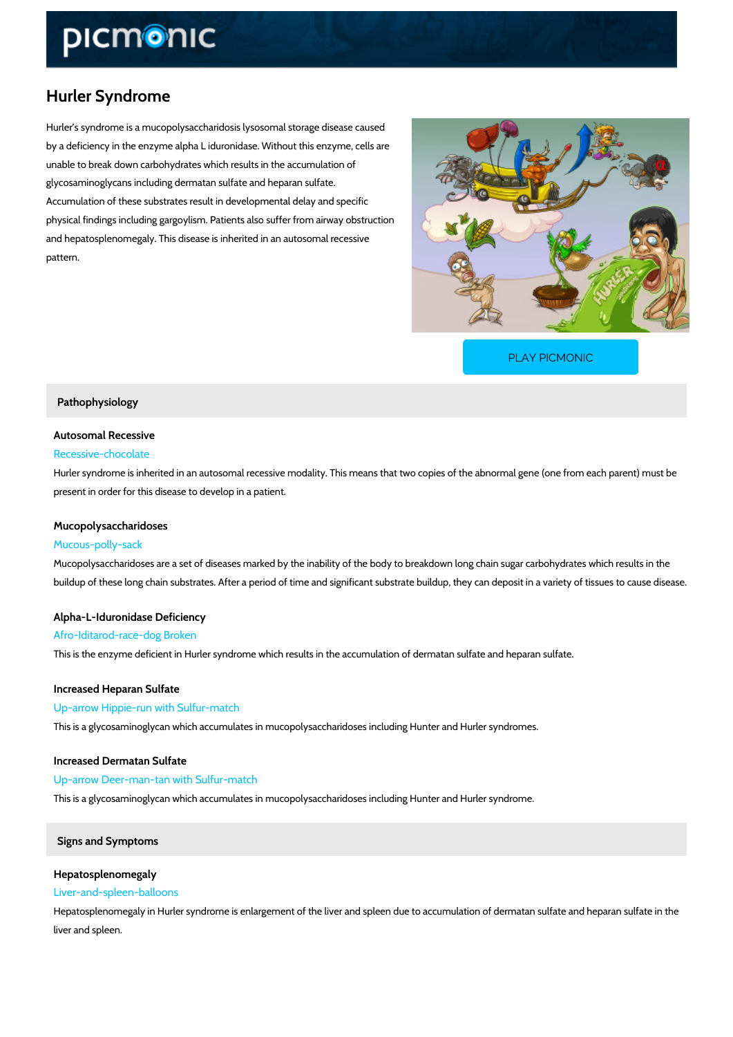# Hurler Syndrome

Hurler s syndrome is a mucopolysaccharidosis lysosomal storage disease caused by a deficiency in the enzyme alpha L iduronidase. Without this enzyme, cells are unable to break down carbohydrates which results in the accumulation of glycosaminoglycans including dermatan sulfate and heparan sulfate. Accumulation of these substrates result in developmental delay and specific physical findings including gargoylism. Patients also suffer from airway obstruction and hepatosplenomegaly. This disease is inherited in an autosomal recessive pattern.

[PLAY PICMONIC](https://www.picmonic.com/learn/hurlers-syndrome_2629?utm_source=downloadable_content&utm_medium=distributedcontent&utm_campaign=pathways_pdf&utm_content=Hurler Syndrome&utm_ad_group=leads&utm_market=all)

# Pathophysiology

## Autosomal Recessive

# Recessive-chocolate

Hurler syndrome is inherited in an autosomal recessive modality. This means that two copies present in order for this disease to develop in a patient.

# Mucopolysaccharidoses

#### Mucous-polly-sack

Mucopolysaccharidoses are a set of diseases marked by the inability of the body to breakdown buildup of these long chain substrates. After a period of time and significant substrate buildu

# Alpha-L-Iduronidase Deficiency

#### Afro-Iditarod-race-dog Broken

This is the enzyme deficient in Hurler syndrome which results in the accumulation of dermatar

Increased Heparan Sulfate Up-arrow Hippie-run with Sulfur-match This is a glycosaminoglycan which accumulates in mucopolysaccharidoses including Hunter an

Increased Dermatan Sulfate Up-arrow Deer-man-tan with Sulfur-match This is a glycosaminoglycan which accumulates in mucopolysaccharidoses including Hunter an

# Signs and Symptoms

## Hepatosplenomegaly

## Liver-and-spleen-balloons

Hepatosplenomegaly in Hurler syndrome is enlargement of the liver and spleen due to accumu liver and spleen.